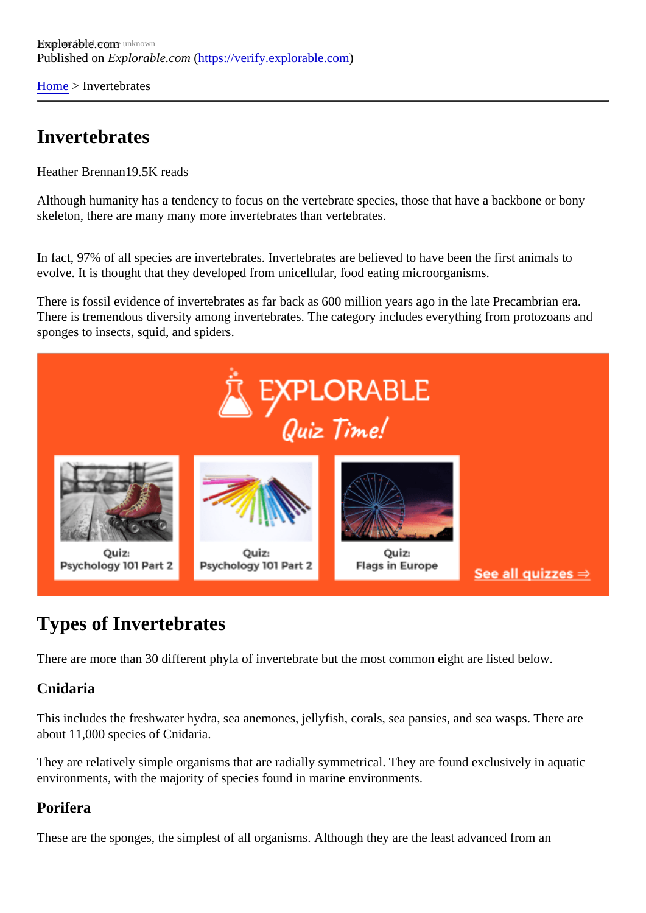[Home](https://verify.explorable.com/) > Invertebrates

## Invertebrates

Heather Brennan9.5K reads

Although humanity has a tendency to focus on the vertebrate species, those that have a backbone or bony skeleton, there are many many more invertebrates than vertebrates.

In fact, 97% of all species are invertebrates. Invertebrates are believed to have been the first animals to evolve. It is thought that they developed from unicellular, food eating microorganisms.

There is fossil evidence of invertebrates as far back as 600 million years ago in the late Precambrian era. There is tremendous diversity among invertebrates. The category includes everything from protozoans and sponges to insects, squid, and spiders.

# Types of Invertebrates

There are more than 30 different phyla of invertebrate but the most common eight are listed below.

#### Cnidaria

This includes the freshwater hydra, sea anemones, jellyfish, corals, sea pansies, and sea wasps. There are about 11,000 species of Cnidaria.

They are relatively simple organisms that are radially symmetrical. They are found exclusively in aquatic environments, with the majority of species found in marine environments.

#### Porifera

These are the sponges, the simplest of all organisms. Although they are the least advanced from an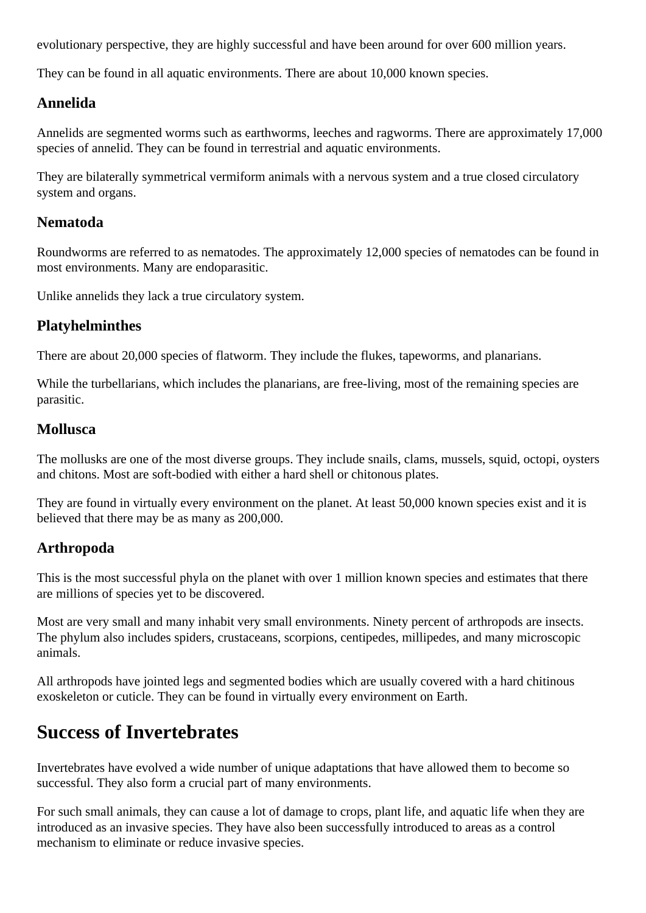evolutionary perspective, they are highly successful and have been around for over 600 million years.

They can be found in all aquatic environments. There are about 10,000 known species.

### **Annelida**

Annelids are segmented worms such as earthworms, leeches and ragworms. There are approximately 17,000 species of annelid. They can be found in terrestrial and aquatic environments.

They are bilaterally symmetrical vermiform animals with a nervous system and a true closed circulatory system and organs.

#### **Nematoda**

Roundworms are referred to as nematodes. The approximately 12,000 species of nematodes can be found in most environments. Many are endoparasitic.

Unlike annelids they lack a true circulatory system.

## **Platyhelminthes**

There are about 20,000 species of flatworm. They include the flukes, tapeworms, and planarians.

While the turbellarians, which includes the planarians, are free-living, most of the remaining species are parasitic.

### **Mollusca**

The mollusks are one of the most diverse groups. They include snails, clams, mussels, squid, octopi, oysters and chitons. Most are soft-bodied with either a hard shell or chitonous plates.

They are found in virtually every environment on the planet. At least 50,000 known species exist and it is believed that there may be as many as 200,000.

## **Arthropoda**

This is the most successful phyla on the planet with over 1 million known species and estimates that there are millions of species yet to be discovered.

Most are very small and many inhabit very small environments. Ninety percent of arthropods are insects. The phylum also includes spiders, crustaceans, scorpions, centipedes, millipedes, and many microscopic animals.

All arthropods have jointed legs and segmented bodies which are usually covered with a hard chitinous exoskeleton or cuticle. They can be found in virtually every environment on Earth.

## **Success of Invertebrates**

Invertebrates have evolved a wide number of unique adaptations that have allowed them to become so successful. They also form a crucial part of many environments.

For such small animals, they can cause a lot of damage to crops, plant life, and aquatic life when they are introduced as an invasive species. They have also been successfully introduced to areas as a control mechanism to eliminate or reduce invasive species.